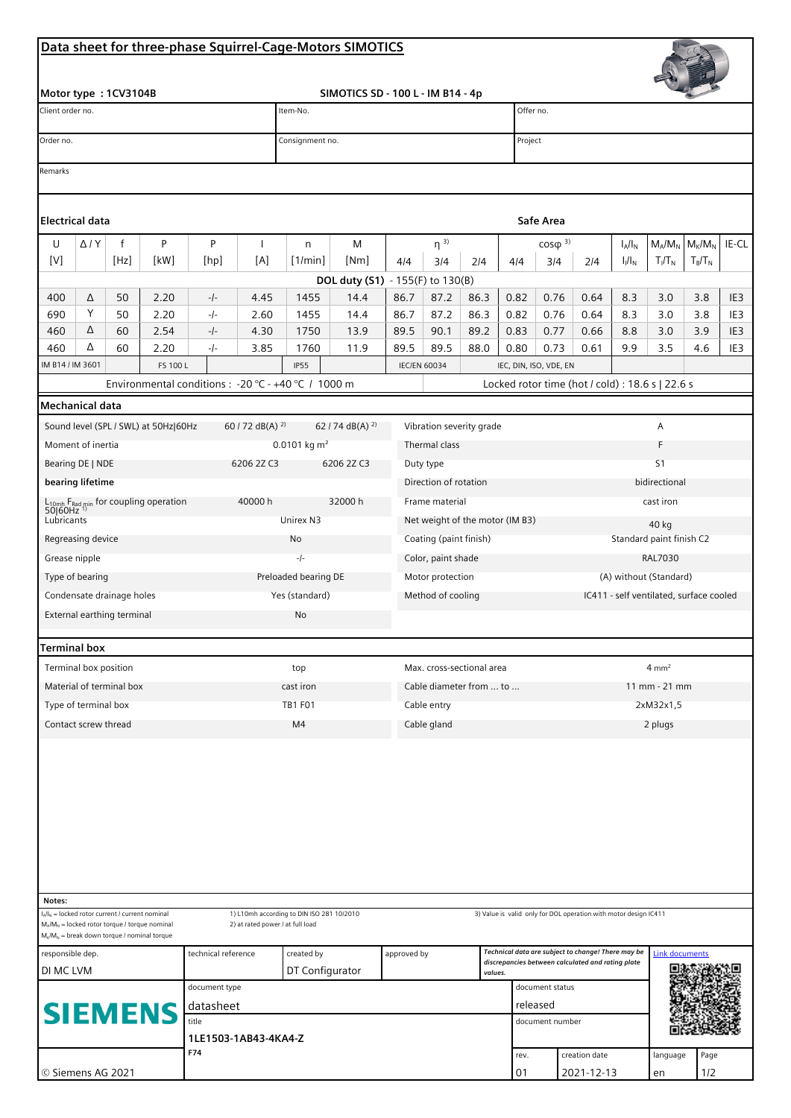## **Data sheet for three-phase Squirrel-Cage-Motors SIMOTICS**

| Motor type: 1CV3104B<br>Client order no.                                                            |                   |                                                                                                    |              |                                                      |                                        | SIMOTICS SD - 100 L - IM B14 - 4p<br>Item-No.      |                                  |                  |                     |                                                                                                         |                                   | Offer no.                                        |                                                                  |                       |            |                       |                                    |  |
|-----------------------------------------------------------------------------------------------------|-------------------|----------------------------------------------------------------------------------------------------|--------------|------------------------------------------------------|----------------------------------------|----------------------------------------------------|----------------------------------|------------------|---------------------|---------------------------------------------------------------------------------------------------------|-----------------------------------|--------------------------------------------------|------------------------------------------------------------------|-----------------------|------------|-----------------------|------------------------------------|--|
| Order no.                                                                                           |                   |                                                                                                    |              |                                                      |                                        | Consignment no.                                    |                                  |                  |                     |                                                                                                         |                                   | Project                                          |                                                                  |                       |            |                       |                                    |  |
| Remarks                                                                                             |                   |                                                                                                    |              |                                                      |                                        |                                                    |                                  |                  |                     |                                                                                                         |                                   |                                                  |                                                                  |                       |            |                       |                                    |  |
|                                                                                                     |                   |                                                                                                    |              |                                                      |                                        |                                                    |                                  |                  |                     |                                                                                                         |                                   |                                                  |                                                                  |                       |            |                       |                                    |  |
| Electrical data                                                                                     |                   |                                                                                                    |              |                                                      |                                        |                                                    |                                  |                  |                     |                                                                                                         |                                   | Safe Area                                        |                                                                  |                       |            |                       |                                    |  |
| U                                                                                                   | $\Delta$ / $Y$    | f                                                                                                  | P            | P                                                    | ı                                      | n                                                  | M                                |                  | $\eta^{3}$          |                                                                                                         |                                   | $\cos\varphi^{3}$                                |                                                                  | $I_A/I_N$             | $M_A/M_N$  | $M_{\rm K}/M_{\rm N}$ | IE-CL                              |  |
| [V]                                                                                                 |                   | [Hz]                                                                                               | [kW]         | [hp]                                                 | [A]                                    | [1/min]                                            | [Nm]                             | 4/4              | 3/4                 | 2/4                                                                                                     | 4/4                               | 3/4                                              | 2/4                                                              | $I_1/I_N$             | $T_I/T_N$  | $T_B/T_N$             |                                    |  |
|                                                                                                     |                   |                                                                                                    |              |                                                      |                                        |                                                    | DOL duty (S1) - 155(F) to 130(B) |                  |                     |                                                                                                         |                                   |                                                  |                                                                  |                       |            |                       |                                    |  |
| 400                                                                                                 | Δ                 | 50                                                                                                 | 2.20         | $-/-$                                                | 4.45                                   | 1455                                               | 14.4                             | 86.7             | 87.2                | 86.3                                                                                                    | 0.82                              | 0.76                                             | 0.64                                                             | 8.3                   | 3.0        | 3.8                   | IE <sub>3</sub>                    |  |
| 690                                                                                                 | Υ<br>Δ            | 50                                                                                                 | 2.20         | $-/-$                                                | 2.60                                   | 1455                                               | 14.4                             | 86.7             | 87.2                | 86.3                                                                                                    | 0.82                              | 0.76                                             | 0.64                                                             | 8.3                   | 3.0        | 3.8                   | IE3                                |  |
| 460<br>460                                                                                          | Δ                 | 60<br>60                                                                                           | 2.54<br>2.20 | -/-<br>-/-                                           | 4.30<br>3.85                           | 1750<br>1760                                       | 13.9<br>11.9                     | 89.5<br>89.5     | 90.1<br>89.5        | 89.2<br>88.0                                                                                            | 0.83<br>0.80                      | 0.77<br>0.73                                     | 0.66<br>0.61                                                     | 8.8<br>9.9            | 3.0<br>3.5 | 3.9<br>4.6            | IE <sub>3</sub><br>IE <sub>3</sub> |  |
| IM B14 / IM 3601                                                                                    |                   |                                                                                                    | FS 100 L     |                                                      |                                        | <b>IP55</b>                                        |                                  |                  | <b>IEC/EN 60034</b> |                                                                                                         | IEC, DIN, ISO, VDE, EN            |                                                  |                                                                  |                       |            |                       |                                    |  |
|                                                                                                     |                   |                                                                                                    |              | Environmental conditions : - 20 °C - +40 °C / 1000 m |                                        |                                                    |                                  |                  |                     |                                                                                                         |                                   | Locked rotor time (hot / cold) : 18.6 s   22.6 s |                                                                  |                       |            |                       |                                    |  |
| Mechanical data                                                                                     |                   |                                                                                                    |              |                                                      |                                        |                                                    |                                  |                  |                     |                                                                                                         |                                   |                                                  |                                                                  |                       |            |                       |                                    |  |
|                                                                                                     |                   | Sound level (SPL / SWL) at 50Hz 60Hz                                                               |              |                                                      | 60 / 72 dB(A) <sup>2)</sup>            |                                                    |                                  |                  |                     |                                                                                                         |                                   |                                                  |                                                                  |                       |            |                       |                                    |  |
|                                                                                                     | Moment of inertia |                                                                                                    |              |                                                      |                                        | 62 / 74 dB(A) $^{2)}$<br>Vibration severity grade  |                                  |                  |                     |                                                                                                         |                                   |                                                  |                                                                  |                       | Α<br>F     |                       |                                    |  |
|                                                                                                     |                   |                                                                                                    |              |                                                      |                                        | 0.0101 kg $m^2$<br>Thermal class                   |                                  |                  |                     |                                                                                                         |                                   |                                                  |                                                                  |                       |            |                       |                                    |  |
| Bearing DE   NDE<br>6206 2Z C3                                                                      |                   |                                                                                                    |              |                                                      |                                        | 6206 2Z C3<br>Duty type                            |                                  |                  |                     |                                                                                                         | S <sub>1</sub><br>bidirectional   |                                                  |                                                                  |                       |            |                       |                                    |  |
| bearing lifetime<br>$L_{10mh}$ F <sub>Rad min</sub> for coupling operation<br>50 60Hz <sup>1)</sup> |                   |                                                                                                    |              |                                                      | 40000 h                                | Direction of rotation<br>32000 h<br>Frame material |                                  |                  |                     |                                                                                                         | cast iron                         |                                                  |                                                                  |                       |            |                       |                                    |  |
|                                                                                                     |                   |                                                                                                    |              |                                                      |                                        | Unirex N3<br>Net weight of the motor (IM B3)       |                                  |                  |                     |                                                                                                         |                                   |                                                  |                                                                  |                       |            |                       |                                    |  |
| Lubricants                                                                                          |                   |                                                                                                    |              |                                                      |                                        | Coating (paint finish)<br>No                       |                                  |                  |                     |                                                                                                         | 40 kg<br>Standard paint finish C2 |                                                  |                                                                  |                       |            |                       |                                    |  |
| Regreasing device                                                                                   |                   |                                                                                                    |              |                                                      | $-/-$<br>Color, paint shade            |                                                    |                                  |                  |                     | <b>RAL7030</b>                                                                                          |                                   |                                                  |                                                                  |                       |            |                       |                                    |  |
| Grease nipple                                                                                       |                   |                                                                                                    |              |                                                      |                                        |                                                    |                                  |                  |                     |                                                                                                         | (A) without (Standard)            |                                                  |                                                                  |                       |            |                       |                                    |  |
| Type of bearing                                                                                     |                   |                                                                                                    |              |                                                      | Preloaded bearing DE<br>Yes (standard) |                                                    |                                  | Motor protection |                     |                                                                                                         |                                   | IC411 - self ventilated, surface cooled          |                                                                  |                       |            |                       |                                    |  |
| Condensate drainage holes<br>External earthing terminal                                             |                   |                                                                                                    |              |                                                      | Method of cooling<br>No                |                                                    |                                  |                  |                     |                                                                                                         |                                   |                                                  |                                                                  |                       |            |                       |                                    |  |
|                                                                                                     |                   |                                                                                                    |              |                                                      |                                        |                                                    |                                  |                  |                     |                                                                                                         |                                   |                                                  |                                                                  |                       |            |                       |                                    |  |
| Terminal box                                                                                        |                   |                                                                                                    |              |                                                      |                                        |                                                    |                                  |                  |                     |                                                                                                         |                                   |                                                  |                                                                  |                       |            |                       |                                    |  |
| Terminal box position                                                                               |                   |                                                                                                    |              |                                                      |                                        | Max. cross-sectional area<br>top                   |                                  |                  |                     |                                                                                                         | $4 \, \text{mm}^2$                |                                                  |                                                                  |                       |            |                       |                                    |  |
| Material of terminal box                                                                            |                   |                                                                                                    |              |                                                      | cast iron<br>Cable diameter from  to   |                                                    |                                  |                  |                     | 11 mm - 21 mm                                                                                           |                                   |                                                  |                                                                  |                       |            |                       |                                    |  |
| Type of terminal box                                                                                |                   |                                                                                                    |              |                                                      | <b>TB1 F01</b><br>Cable entry          |                                                    |                                  |                  |                     | 2xM32x1,5                                                                                               |                                   |                                                  |                                                                  |                       |            |                       |                                    |  |
| Contact screw thread                                                                                |                   |                                                                                                    |              |                                                      |                                        | M <sub>4</sub><br>Cable gland                      |                                  |                  |                     |                                                                                                         | 2 plugs                           |                                                  |                                                                  |                       |            |                       |                                    |  |
|                                                                                                     |                   |                                                                                                    |              |                                                      |                                        |                                                    |                                  |                  |                     |                                                                                                         |                                   |                                                  |                                                                  |                       |            |                       |                                    |  |
|                                                                                                     |                   |                                                                                                    |              |                                                      |                                        |                                                    |                                  |                  |                     |                                                                                                         |                                   |                                                  |                                                                  |                       |            |                       |                                    |  |
| Notes:                                                                                              |                   | $I_A/I_N$ = locked rotor current / current nominal                                                 |              |                                                      |                                        | 1) L10mh according to DIN ISO 281 10/2010          |                                  |                  |                     |                                                                                                         |                                   |                                                  | 3) Value is valid only for DOL operation with motor design IC411 |                       |            |                       |                                    |  |
|                                                                                                     |                   | $M_A/M_N$ = locked rotor torque / torque nominal<br>$M_K/M_N$ = break down torque / nominal torque |              |                                                      | 2) at rated power / at full load       |                                                    |                                  |                  |                     |                                                                                                         |                                   |                                                  |                                                                  |                       |            |                       |                                    |  |
| responsible dep.<br>technical reference                                                             |                   |                                                                                                    |              |                                                      | created by<br>approved by              |                                                    |                                  |                  |                     | Technical data are subject to change! There may be<br>discrepancies between calculated and rating plate |                                   |                                                  |                                                                  | <b>Link documents</b> |            |                       |                                    |  |
| DI MC LVM                                                                                           |                   |                                                                                                    |              |                                                      | DT Configurator<br>values.             |                                                    |                                  |                  |                     |                                                                                                         |                                   |                                                  |                                                                  |                       |            |                       |                                    |  |
| document type<br>datasheet<br><b>SIEMENS</b><br>title<br>1LE1503-1AB43-4KA4-Z                       |                   |                                                                                                    |              |                                                      |                                        |                                                    |                                  |                  |                     | document status<br>released<br>document number                                                          |                                   |                                                  |                                                                  |                       |            |                       |                                    |  |
|                                                                                                     |                   |                                                                                                    |              |                                                      |                                        |                                                    |                                  |                  |                     |                                                                                                         |                                   |                                                  |                                                                  |                       |            |                       |                                    |  |
|                                                                                                     |                   |                                                                                                    |              |                                                      |                                        |                                                    |                                  |                  |                     |                                                                                                         |                                   |                                                  |                                                                  |                       |            |                       |                                    |  |
|                                                                                                     |                   |                                                                                                    |              | F74                                                  |                                        |                                                    |                                  |                  |                     |                                                                                                         | rev.                              |                                                  | creation date                                                    |                       | language   | Page                  |                                    |  |
| © Siemens AG 2021                                                                                   |                   |                                                                                                    |              |                                                      |                                        |                                                    |                                  |                  |                     |                                                                                                         | 01                                |                                                  | 2021-12-13                                                       |                       | en         | 1/2                   |                                    |  |

 $\frac{1}{100}$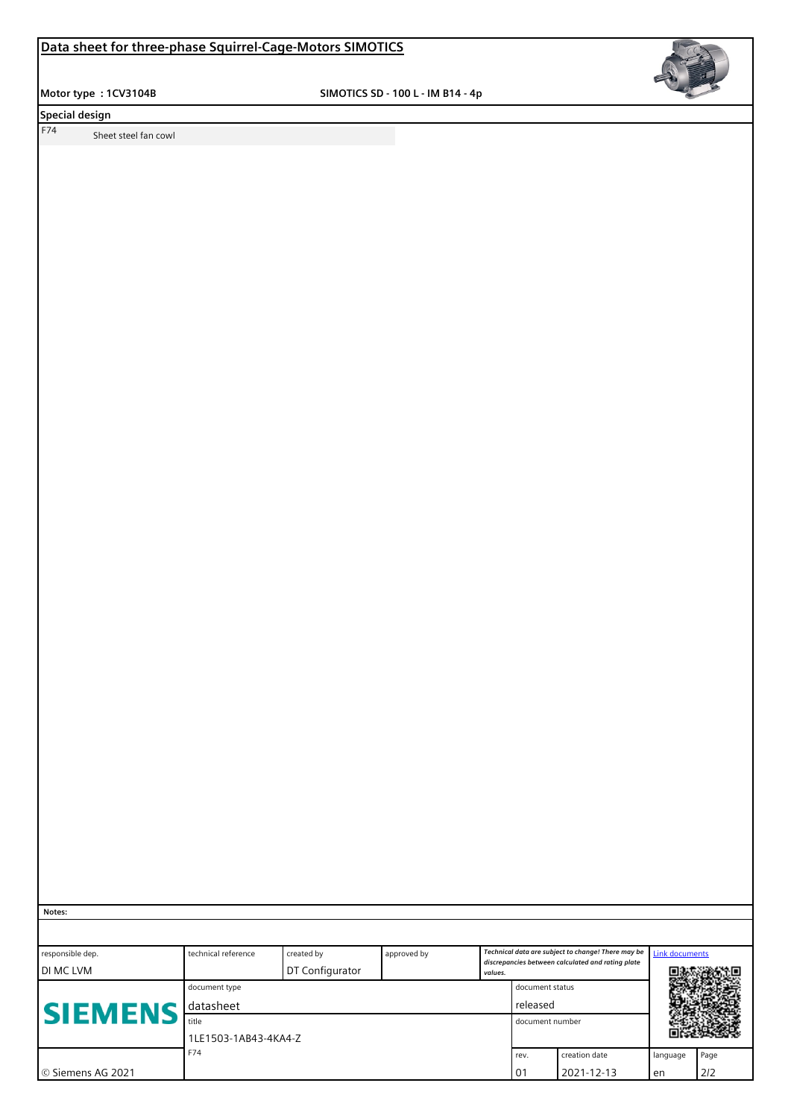**Motor type : 1CV3104B SIMOTICS SD - 100 L - IM B14 - 4p**



**Special design** 

F74 Sheet steel fan cowl

 **Notes:**

| responsible dep.    | technical reference  | approved by | Technical data are subject to change! There may be |         |               | <b>Link documents</b>                             |      |     |  |
|---------------------|----------------------|-------------|----------------------------------------------------|---------|---------------|---------------------------------------------------|------|-----|--|
| <b>IDI MCLVM</b>    | DT Configurator      |             |                                                    | values. |               | discrepancies between calculated and rating plate |      |     |  |
|                     | document type        |             | document status                                    |         |               |                                                   |      |     |  |
| <b>SIEMENS</b>      | datasheet            |             | released                                           |         |               |                                                   |      |     |  |
|                     | title                |             | document number                                    |         |               |                                                   |      |     |  |
|                     | 1LE1503-1AB43-4KA4-Z |             |                                                    |         |               |                                                   |      |     |  |
|                     | F74                  |             |                                                    | rev.    | creation date | language                                          | Page |     |  |
| I © Siemens AG 2021 |                      |             |                                                    |         | . 01          | 2021-12-13                                        | en   | 2/2 |  |